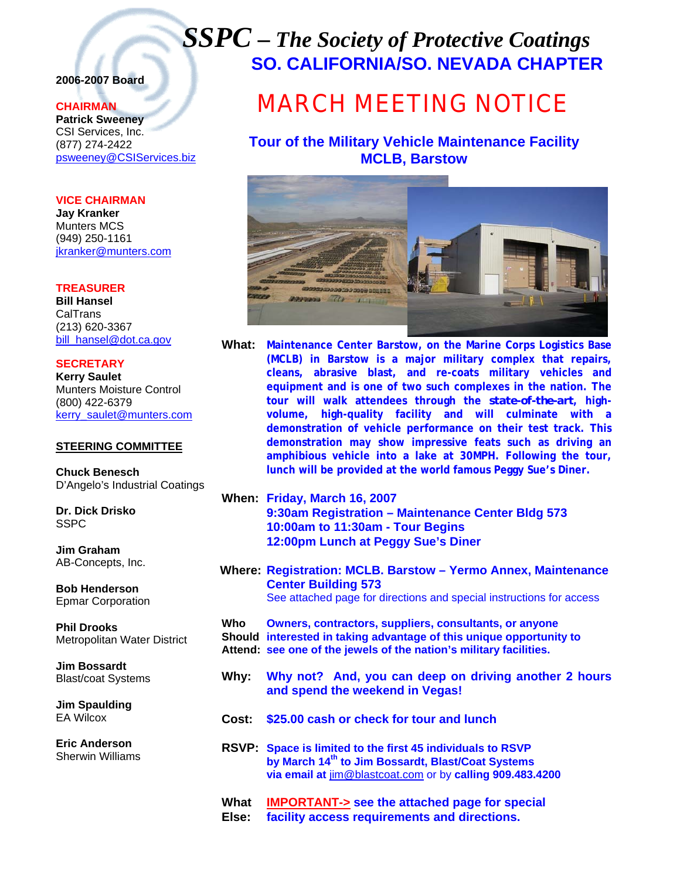## *SSPC – The Society of Protective Coatings* **SO. CALIFORNIA/SO. NEVADA CHAPTER**

## **2006-2007 Board**

### **CHAIRMAN**

**Patrick Sweeney** CSI Services, Inc. (877) 274-2422 psweeney@CSIServices.biz

#### **VICE CHAIRMAN**

**Jay Kranker** Munters MCS (949) 250-1161 jkranker@munters.com

**TREASURER Bill Hansel** CalTrans (213) 620-3367 bill\_hansel@dot.ca.gov

**SECRETARY Kerry Saulet** Munters Moisture Control (800) 422-6379 kerry\_saulet@munters.com

#### **STEERING COMMITTEE**

**Chuck Benesch**  D'Angelo's Industrial Coatings

**Dr. Dick Drisko SSPC** 

**Jim Graham**  AB-Concepts, Inc.

**Bob Henderson**  Epmar Corporation

**Phil Drooks**  Metropolitan Water District

**Jim Bossardt**  Blast/coat Systems

**Jim Spaulding**  EA Wilcox

**Eric Anderson**  Sherwin Williams

# MARCH MEETING NOTICE

## **Tour of the Military Vehicle Maintenance Facility MCLB, Barstow**



- **What: Maintenance Center Barstow, on the Marine Corps Logistics Base (MCLB) in Barstow is a major military complex that repairs, cleans, abrasive blast, and re-coats military vehicles and equipment and is one of two such complexes in the nation. The tour will walk attendees through the** *state-of-the-art***, highvolume, high-quality facility and will culminate with a demonstration of vehicle performance on their test track. This demonstration may show impressive feats such as driving an amphibious vehicle into a lake at 30MPH. Following the tour, lunch will be provided at the world famous Peggy Sue's Diner.**
- **When: Friday, March 16, 2007 9:30am Registration – Maintenance Center Bldg 573 10:00am to 11:30am - Tour Begins 12:00pm Lunch at Peggy Sue's Diner**
- **Where: Registration: MCLB. Barstow Yermo Annex, Maintenance Center Building 573**  See attached page for directions and special instructions for access

**Who Owners, contractors, suppliers, consultants, or anyone Should interested in taking advantage of this unique opportunity to Attend: see one of the jewels of the nation's military facilities.** 

- **Why: Why not? And, you can deep on driving another 2 hours and spend the weekend in Vegas!**
- **Cost: \$25.00 cash or check for tour and lunch**

**RSVP: Space is limited to the first 45 individuals to RSVP by March 14th to Jim Bossardt, Blast/Coat Systems via email at** jim@blastcoat.com or by **calling 909.483.4200**

**What IMPORTANT-> see the attached page for special** 

**Else: facility access requirements and directions.**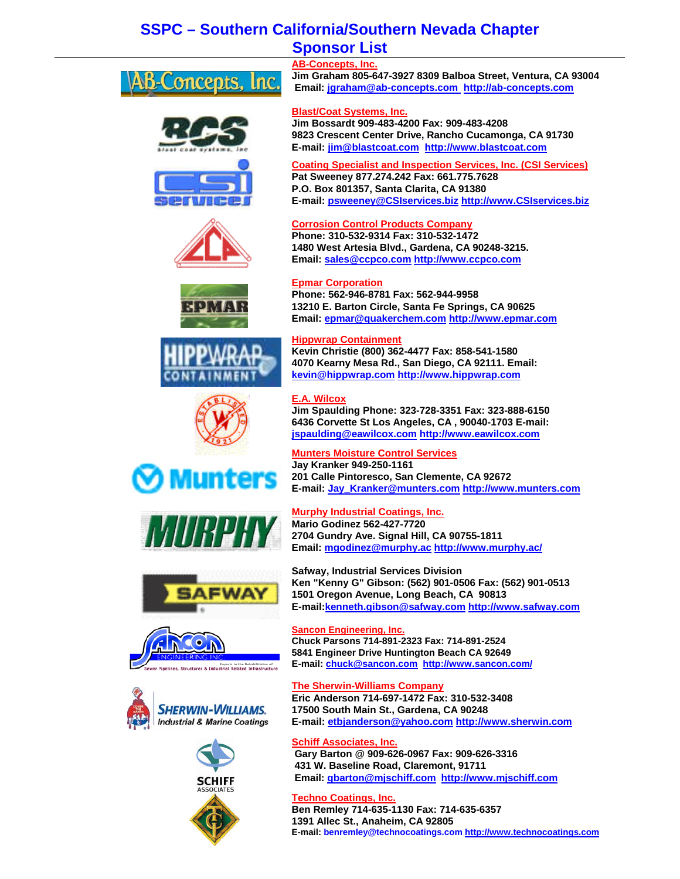## **SSPC – Southern California/Southern Nevada Chapter Sponsor List**

| <b>AB-Concepts, Inc.</b>                                               |
|------------------------------------------------------------------------|
| Jim Graham 805-647-3927 8309 Balboa Street, Ventura, CA 93004          |
| Email: jgraham@ab-concepts.com http://ab-concepts.com                  |
| <b>Blast/Coat Systems, Inc.</b>                                        |
| Jim Bossardt 909-483-4200 Fax: 909-483-4208                            |
| 9823 Crescent Center Drive, Rancho Cucamonga, CA 91730                 |
| E-mail: jim@blastcoat.com http://www.blastcoat.com                     |
| <b>Coating Specialist and Inspection Services, Inc. (CSI Services)</b> |
| Pat Sweeney 877.274.242 Fax: 661.775.7628                              |
| P.O. Box 801357, Santa Clarita, CA 91380                               |
| E-mail: psweeney@CSIservices.biz http://www.CSIservices.biz            |
| <b>Corrosion Control Products Company</b>                              |
| Phone: 310-532-9314 Fax: 310-532-1472                                  |
| 1480 West Artesia Blvd., Gardena, CA 90248-3215.                       |
| Email: sales@ccpco.com http://www.ccpco.com                            |
| <b>Epmar Corporation</b>                                               |
| Phone: 562-946-8781 Fax: 562-944-9958                                  |
| 13210 E. Barton Circle, Santa Fe Springs, CA 90625                     |
| Email: epmar@quakerchem.com http://www.epmar.com                       |
| <b>Hippwrap Containment</b>                                            |
| Kevin Christie (800) 362-4477 Fax: 858-541-1580                        |
| 4070 Kearny Mesa Rd., San Diego, CA 92111. Email:                      |
| kevin@hippwrap.com http://www.hippwrap.com                             |
|                                                                        |
| <b>E.A. Wilcox</b>                                                     |
| Jim Spaulding Phone: 323-728-3351 Fax: 323-888-6150                    |
| 6436 Corvette St Los Angeles, CA, 90040-1703 E-mail:                   |
| jspaulding@eawilcox.com http://www.eawilcox.com                        |
| <b>Munters Moisture Control Services</b>                               |
| Jay Kranker 949-250-1161                                               |
| 201 Calle Pintoresco, San Clemente, CA 92672                           |
| E-mail: Jay Kranker@munters.com http://www.munters.com                 |
| <b>Murphy Industrial Coatings, Inc.</b>                                |
| <b>Mario Godinez 562-427-7720</b>                                      |
| 2704 Gundry Ave. Signal Hill, CA 90755-1811                            |
| Email: mgodinez@murphy.ac http://www.murphy.ac/                        |
|                                                                        |









**The Sherwin-Williams Company** 

**Sancon Engineering, Inc.** 

**Safway, Industrial Services Division** 

**1501 Oregon Avenue, Long Beach, CA 90813** 

**Chuck Parsons 714-891-2323 Fax: 714-891-2524 5841 Engineer Drive Huntington Beach CA 92649 E-mail: chuck@sancon.com http://www.sancon.com/**

**Eric Anderson 714-697-1472 Fax: 310-532-3408 17500 South Main St., Gardena, CA 90248 E-mail: etbjanderson@yahoo.com http://www.sherwin.com**

**Ken "Kenny G" Gibson: (562) 901-0506 Fax: (562) 901-0513** 

**E-mail:kenneth.gibson@safway.com http://www.safway.com**

**Schiff Associates, Inc. Gary Barton @ 909-626-0967 Fax: 909-626-3316 431 W. Baseline Road, Claremont, 91711 Email: gbarton@mjschiff.com http://www.mjschiff.com**

#### **Techno Coatings, Inc. Ben Remley 714-635-1130 Fax: 714-635-6357 1391 Allec St., Anaheim, CA 92805 E-mail: benremley@technocoatings.com http://www.technocoatings.com**